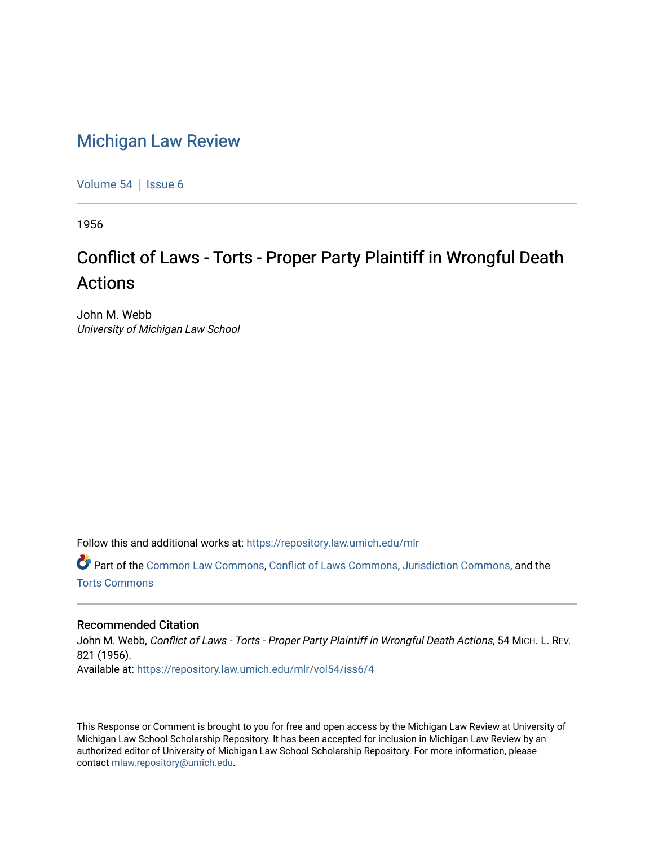# [Michigan Law Review](https://repository.law.umich.edu/mlr)

[Volume 54](https://repository.law.umich.edu/mlr/vol54) | [Issue 6](https://repository.law.umich.edu/mlr/vol54/iss6)

1956

# Conflict of Laws - Torts - Proper Party Plaintiff in Wrongful Death Actions

John M. Webb University of Michigan Law School

Follow this and additional works at: [https://repository.law.umich.edu/mlr](https://repository.law.umich.edu/mlr?utm_source=repository.law.umich.edu%2Fmlr%2Fvol54%2Fiss6%2F4&utm_medium=PDF&utm_campaign=PDFCoverPages) 

Part of the [Common Law Commons,](http://network.bepress.com/hgg/discipline/1120?utm_source=repository.law.umich.edu%2Fmlr%2Fvol54%2Fiss6%2F4&utm_medium=PDF&utm_campaign=PDFCoverPages) [Conflict of Laws Commons,](http://network.bepress.com/hgg/discipline/588?utm_source=repository.law.umich.edu%2Fmlr%2Fvol54%2Fiss6%2F4&utm_medium=PDF&utm_campaign=PDFCoverPages) [Jurisdiction Commons,](http://network.bepress.com/hgg/discipline/850?utm_source=repository.law.umich.edu%2Fmlr%2Fvol54%2Fiss6%2F4&utm_medium=PDF&utm_campaign=PDFCoverPages) and the [Torts Commons](http://network.bepress.com/hgg/discipline/913?utm_source=repository.law.umich.edu%2Fmlr%2Fvol54%2Fiss6%2F4&utm_medium=PDF&utm_campaign=PDFCoverPages) 

## Recommended Citation

John M. Webb, Conflict of Laws - Torts - Proper Party Plaintiff in Wrongful Death Actions, 54 MICH. L. REV. 821 (1956). Available at: [https://repository.law.umich.edu/mlr/vol54/iss6/4](https://repository.law.umich.edu/mlr/vol54/iss6/4?utm_source=repository.law.umich.edu%2Fmlr%2Fvol54%2Fiss6%2F4&utm_medium=PDF&utm_campaign=PDFCoverPages)

This Response or Comment is brought to you for free and open access by the Michigan Law Review at University of Michigan Law School Scholarship Repository. It has been accepted for inclusion in Michigan Law Review by an authorized editor of University of Michigan Law School Scholarship Repository. For more information, please contact [mlaw.repository@umich.edu](mailto:mlaw.repository@umich.edu).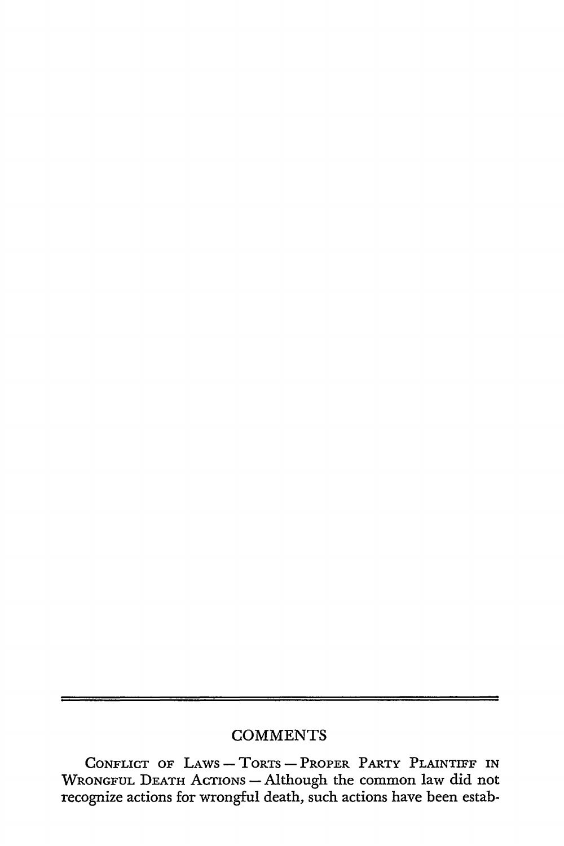# **COMMENTS**

CONFLICT OF LAWS - TORTS - PROPER PARTY PLAINTIFF IN WRONGFUL DEATH ACTIONS - Although the common law did not recognize actions for wrongful death, such actions have been estab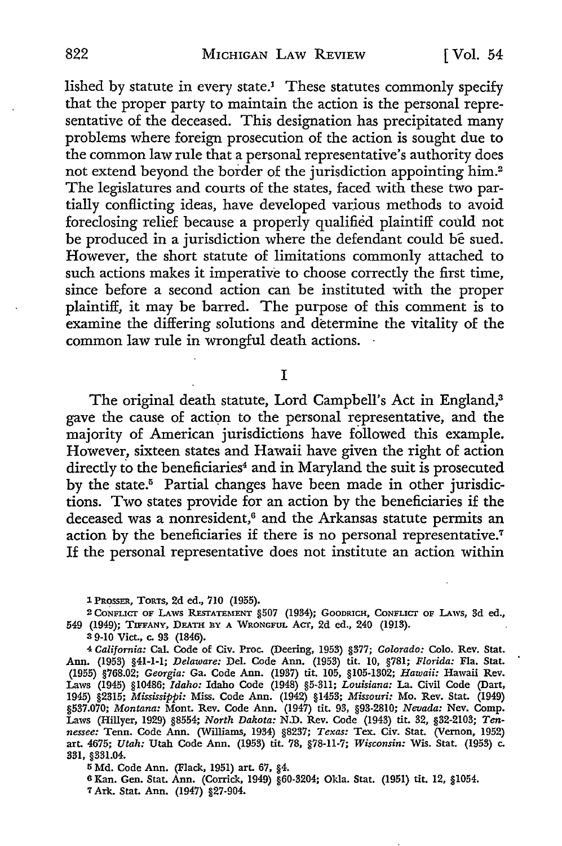lished by statute in every state.1 These statutes commonly specify that the proper party to maintain the action is the personal representative of the deceased. This designation has precipitated many problems where foreign prosecution of the action is sought due to the common law rule that a personal representative's authority does not extend beyond the border of the jurisdiction appointing him.<sup>2</sup> The legislatures and courts of the states, faced with these two partially conflicting ideas, have developed various methods to avoid foreclosing relief because a properly qualified plaintiff could not be produced in a jurisdiction where the defendant could be sued. However, the short statute of limitations commonly attached to such actions makes it imperative to choose correctly the first time, since before a second action can be instituted with the proper plaintiff, it may be barred. The purpose of this comment is to examine the differing solutions and determine the vitality of the common law rule in wrongful death actions.

I

The original death statute, Lord Campbell's Act in England,<sup>3</sup> gave the cause of action to the personal representative, and the majority of American jurisdictions have followed this example. However, sixteen states and Hawaii have given the right of action directly to the beneficiaries<sup>4</sup> and in Maryland the suit is prosecuted by the state.<sup>5</sup> Partial changes have been made in other jurisdictions. Two states provide for an action by the beneficiaries if the deceased was a nonresident,<sup>6</sup> and the Arkansas statute permits an action by the beneficiaries if there is no personal representative.<sup>7</sup> If the personal representative does not institute an action within

2 CONFLICT OF LAWS RESTATEMENT §507 (1934); GOODRICH, CONFLICT OF LAWS, 3d ed., 549 (1949); TIFFANY, DEATH RY A WRONGFUL *ACT,* 2d ed., 240 (1913).

3 9-10 Viet., c. 93 (1846).

4 *California:* Cal. Code of Civ. Proc. (Deering, 1953) §377; *Colorado:* Colo. Rev. Stat. Ann. (1953) §41-1-1; *Delaware:* Del. Code Ann. (1953) tit. 10, §781; *Florida:* Fla. Stat. (1955) §768.02; *Georgia:* Ga. Code Ann. (1937) tit. 105, §105-1302; *Hawaii:* Hawaii Rev. Laws (1945) §10486; *Idaho:* Idaho Code (1948) §5-311; *Louisiana:* La. Civil Code (Dart, 1945) §2315; *Mississippi:* Miss. Code Ann. (1942) §1453; *Missouri:* Mo. Rev. Stat. (1949) §537.070; *Montana:* Mont. Rev. Code Ann. (1947) tit. 93, §93-2810; *Nevada:* Nev. Comp. Laws (Hillyer, 1929) §8554; *North Dakota:* N.D. Rev. Code (1943) tit. 32, §32-2103; *Tennessee:* Tenn. Code Ann. (Williams, 1934) §8237; *Texas:* Tex. Civ. Stat. (Vernon, 1952) art. 4675; *Utah:* Utah Code Ann. (1953) tit. 78, §78-11-7; *Wisconsin:* Wis. Stat. (1953) c. 331, §331.04.

5 Md. Code Ann. (Flack, 1951) art. 67, §4.

6 Kan. Gen. Stat. Ann. (Corrick, 1949) §60-3204; Okla. Stat. (1951) tit. 12, §1054. 7 Ark. Stat. Ann. (1947) §27-904.

l PROSSER, TORTS, 2d ed., 710 (1955).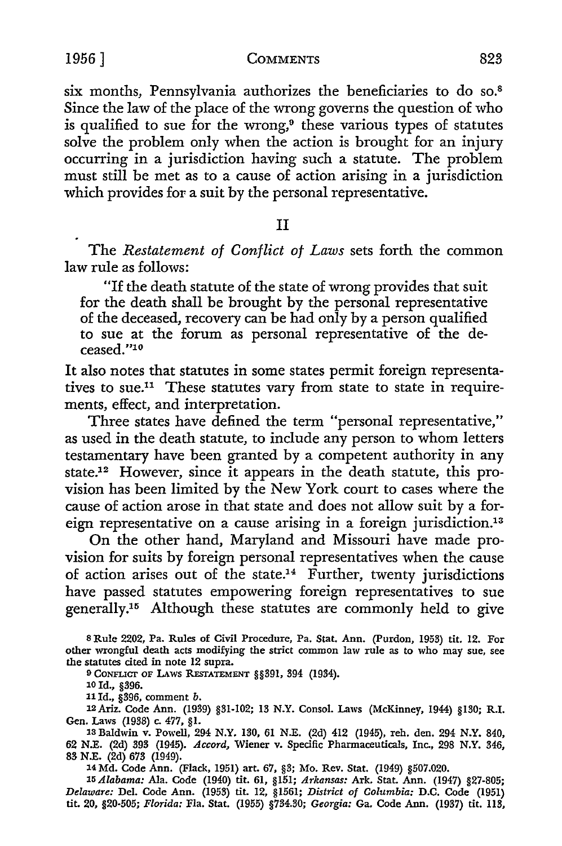six months, Pennsylvania authorizes the beneficiaries to do so.<sup>8</sup> Since the law of the place of the wrong governs the question of who is qualified to sue for the wrong, $9$  these various types of statutes solve the problem only when the action is brought for an injury occurring in a jurisdiction having such a statute. The problem must still be met as to a cause of action arising in a jurisdiction which provides for a suit by the personal representative.

### II

The *Restatement of Conflict of Laws* sets forth the common law rule as follows:

"If the death statute of the state of wrong provides that suit for the death shall be brought by the personal representative of the deceased, recovery can be had only by a person qualified to sue at the forum as personal representative of the deceased."10

It also notes that statutes in some states permit foreign representatives to sue.<sup>11</sup> These statutes vary from state to state in requirements, effect, and interpretation.

Three states have defined the term "personal representative," as used in the death statute, to include any person to whom letters testamentary have been granted by a competent authority in any state.12 However, since it appears in the death statute, this provision has been limited by the New York court to cases where the cause of action arose in that state and does not allow suit by a foreign representative on a cause arising in a foreign jurisdiction.13

On the other hand, Maryland and Missouri have made provision for suits by foreign personal representatives when the cause of action arises out of the state.14 Further, twenty jurisdictions have passed statutes empowering foreign representatives to sue generally.15 Although these statutes are commonly held to give

9 CONFLICT OF LAWS RESTATEMENT §§391, 394 (1934).

11 Id., §396, comment *b.* 

12Ariz. Code Ann. (1939) §31-102; 13 N.Y. Consol. Laws (McKinney, 1944) §130; R.I. Gen. Laws (1938) c. 477, §1.

13 Baldwin v. Powell, 294 N.Y. 130, 61 N.E. (2d) 412 (1945), reh. den. 294 N.Y. 840, 62 N.E. (2d) 393 (1945). *Accord,* Wiener v. Specific Pharmaceuticals, Inc., 298 N.Y. 346, 83 N.E. (2d) 673 (1949).

14 Md. Code Ann. (Flack, 1951) art. 67, §3; Mo. Rev. Stat. (1949) §507.020.

15 *Alabama:* Ala. Code (1940) tit. 61, §151; *Arkansas:* Ark. Stat. Ann. (1947) §27-805; *Delaware:* Del. Code Ann. (1953) tit. 12, §1561; *District of Columbia:* D.C. Code (1951) tit. 20, §20-505; *Florida:* Fla. Stat. (1955) §734.30; *Georgia:* Ga. Code Ann. (1937) tit. 113,

<sup>8</sup> Rule 2202, Pa. Rules of Civil Procedure, Pa. Stat. Ann. (Purdon, 1953) tit. 12. For other wrongful death acts modifying the strict common law rule as to who may sue, see the statutes cited in note 12 supra.

<sup>10</sup> Id., §396.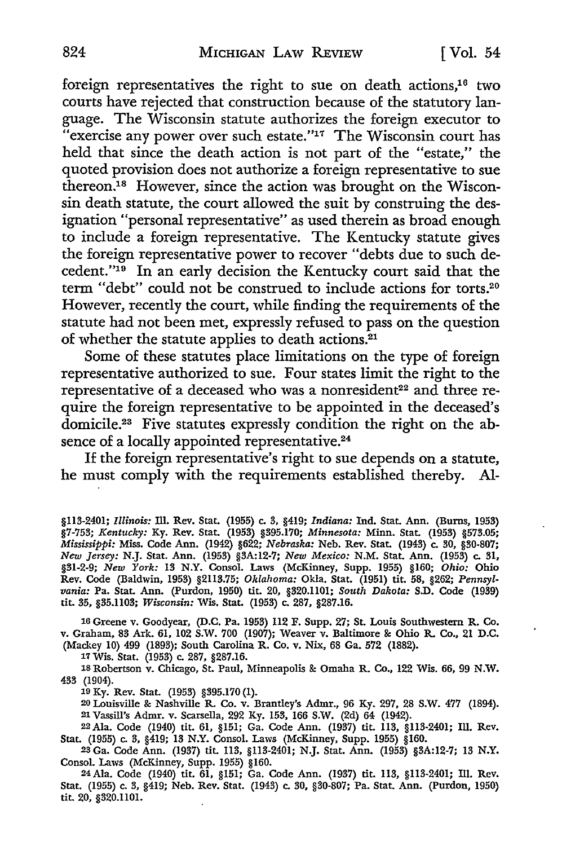foreign representatives the right to sue on death actions,<sup>16</sup> two courts have rejected that construction because of the statutory language. The Wisconsin statute authorizes the foreign executor to "exercise any power over such estate." $17$  The Wisconsin court has held that since the death action is not part of the "estate," the quoted provision does not authorize a foreign representative to sue thereon.18 However, since the action was brought on the Wisconsin death statute, the court allowed the suit by construing the designation "personal representative" as used therein as broad enough to include a foreign representative. The Kentucky statute gives the foreign representative power to recover "debts due to such decedent.''19 In an early decision the Kentucky court said that the term "debt" could not be construed to include actions for torts.20 However, recently the court, while finding the requirements of the statute had not been met, expressly refused to pass on the question of whether the statute applies to death actions.21

Some of these statutes place limitations on the type of foreign representative authorized to sue. Four states limit the right to the representative of a deceased who was a nonresident<sup>22</sup> and three require the foreign representative to be appointed in the deceased's domicile.23 Five statutes expressly condition the right on the absence of a locally appointed representative.<sup>24</sup>

If the foreign representative's right to sue depends on a statute, he must comply with the requirements established thereby. Al-

16 Greene v. Goodyear, (D.C. Pa. 1953) 112 F. Supp. 27; St. Louis Southwestern R. Co. v. Graham, 83 Ark. 61, 102 S.W. 700 (1907); Weaver v. Baltimore &: Ohio R. Co., 21 D.C. (Mackey 10) 499 (1893); South Carolina R. Co. v. Nix, 68 Ga. 572 (1882).

17 Wis. Stat. (1953) c. 287, §287.16.

18 Robertson v. Chicago, St. Paul, Minneapolis&: Omaha R. Co., 122 Wis. 66, 99 N.W. 433 (1904).

19 Ky. Rev. Stat. (1953) §395.170 (1).

20 Louisville &: Nashville R. Co. v. Brantley's Admr., 96 Ky. 297, 28 S.W. 477 (1894). 21 Vassill's Admr. v. Scarsella, 292 Ky. 153, 166 **S.W.** (2d) 64 (1942).

22 Ala. Code (1940) tit. 61, §151; Ga. Code Ann. (1937) tit. 113, §113-2401; Ill. Rev. Stat. (1955) c. 3, §419; 13 N.Y. Consol. Laws (McKinney, Supp. 1955) §160.

23 Ga. Code Ann. (1937) tit. 113, §113-2401; N.J. Stat. Ann. (1953) §3A:12-7; 13 **N.Y.**  Consol. Laws (McKinney, Supp. 1955) §160.

24 Ala. Code (1940) tit. 61, §151; Ga. Code Ann. (1937) tit. 113, §113-2401; Ill. Rev. Stat. (1955) c. 3, §419; Neb. Rev. Stat. (1943) c. 30, §30-807; Pa. Stat. Ann. (Purdon, 1950) **tit.** 20, §320.1101.

<sup>§113-2401;</sup> *Illinois:* DI. Rev. Stat. (1955) c. 3, §419; *Indiana:* Ind. Stat. Ann. (Burns, 1953) §7-753; *Kentucky:* Ky. Rev. Stat. (1953) §395.170; *Minnesota:* Minn. Stat. (1953) §573.05; *Mississippi:* Miss. Code Ann. (1942) §622; *Nebraska:* Neb. Rev. Stat. (1943) c. 30, §30-807; *New Jersey:* N.J. Stat. Ann. (1953) §3A:12-7; *New Mexico:* N.M. Stat. Ann. (1953) c. 31, §31-2-9; *New York:* 13 N.Y. Consol. Laws (McKinney, Supp. 1955) §160; *Ohio:* Ohio Rev. Code (Baldwin, 1953) §2113.75; *Oklahoma:* Okla. Stat. (1951) tit. 58, §262; *Pennsylvania:* Pa. Stat. Ann. (Purdon, 1950) tit. 20, §320.1101; *South Dakota:* S.D. Code (1939) tit. 35, §35.1103; *Wisconsin:* Wis. Stat. (1953) c. 287, §287.16.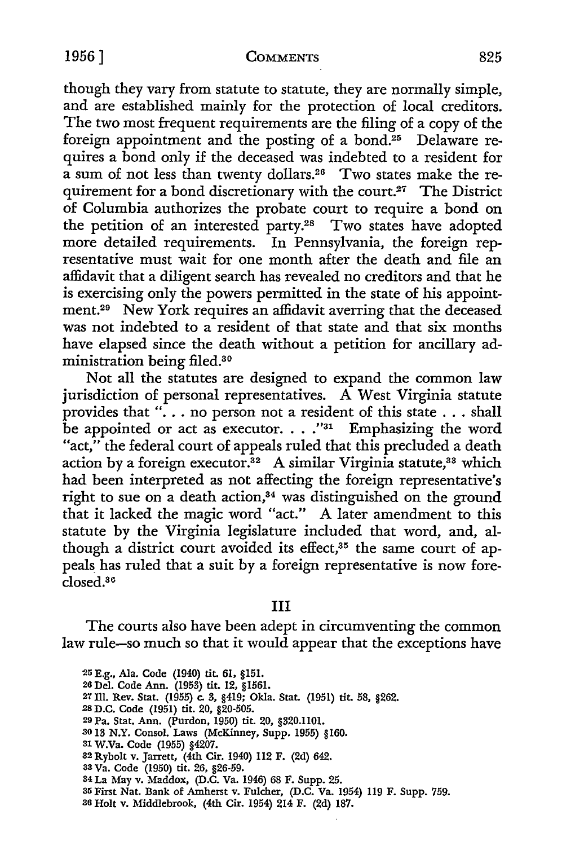#### 1956] **COMMENTS** 825

though they vary from statute to statute, they are normally simple, and are established mainly for the protection of local creditors. The two most frequent requirements are the filing of a copy of the foreign appointment and the posting of a bond.<sup>25</sup> Delaware requires a bond only if the deceased was indebted to a resident for a sum of not less than twenty dollars.26 Two states make the requirement for a bond discretionary with the court.<sup>27</sup> The District of Columbia authorizes the probate court to require a bond on the petition of an interested party.<sup>28</sup> Two states have adopted more detailed requirements. In Pennsylvania, the foreign representative must wait for one month after the death and file an affidavit that a diligent search has revealed no creditors and that he is exercising only the powers permitted in the state of his appointment.29 New York requires an affidavit averring that the deceased was not indebted to a resident of that state and that six months have elapsed since the death without a petition for ancillary administration being filed.30

Not all the statutes are designed to expand the common law jurisdiction of personal representatives. A West Virginia statute provides that " $\ldots$  no person not a resident of this state  $\ldots$  shall be appointed or act as executor. . . . "31 Emphasizing the word "act," the federal court of appeals ruled that this precluded a death action by a foreign executor.<sup>32</sup> A similar Virginia statute,<sup>33</sup> which had been interpreted as not affecting the foreign representative's right to sue on a death action,<sup>34</sup> was distinguished on the ground that it lacked the magic word "act." A later amendment to this statute by the Virginia legislature included that word, and, although a district court avoided its effect,<sup>35</sup> the same court of appeals has ruled that a suit by a foreign representative is now foreclosed.36

III

The courts also have been adept in circumventing the common law rule-so much so that it would appear that the exceptions have

- so 13 N.Y. Consol. Laws (McKinney, Supp. 1955) §160.
- 31 W.Va. Code (1955) §4207.
- 32 Rybolt v. Jarrett, (4th Cir. 1940) 112 F. (2d) 642.
- 33 Va. Code (1950) tit. 26, §26-59.
- 34 La May v. Maddox, (D.C. Va. 1946) 68 F. Supp. 25.
- 35 First Nat. Bank of Amherst v. Fulcher, (D.C. Va. 1954) 119 F. Supp. 759.
- 36 Holt v. Middlebrook, (4th Cir. 1954) 214 F. (2d) 187.

<sup>:25</sup> E.g., Ala. Code (1940) tit. 61, §151.

<sup>26</sup> Del. Code Ann. (1953) tit. 12, §1561.

<sup>27</sup> Ill. Rev. Stat. (1955) c. 3, §419; Okla. Stat. (1951) tit. 58, §262.

<sup>28</sup> D.C. Code (1951) tit. 20, §20-505.

<sup>29</sup> Pa. Stat. Ann. (Purdon, 1950) tit. 20, §320.1101.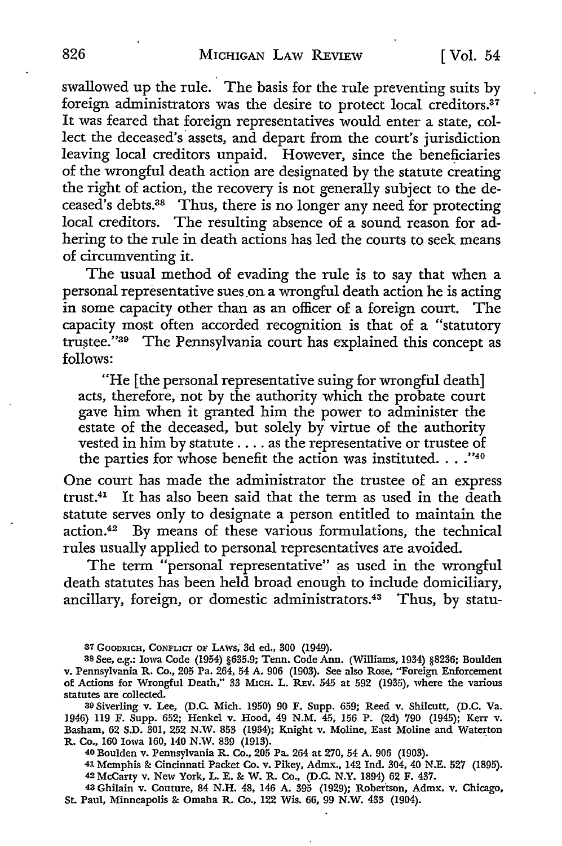swallowed up the rule. The basis for the rule preventing suits by foreign administrators was the desire to protect local creditors.<sup>37</sup> It was feared that foreign representatives would enter a state, collect the deceased's assets, and depart from the court's jurisdiction leaving local creditors unpaid. However, since the beneficiaries of the wrongful death action are designated by the statute creating the right of action, the recovery is not generally subject to the deceased's debts.38 Thus, there is no longer any need for protecting local creditors. The resulting absence of a sound reason for adhering to the rule in death actions has led the courts to seek means of circumventing it.

The usual method of evading the rule is to say that when a personal representative sues on a wrongful death action he is acting in some capacity other than as an officer of a foreign court. The capacity most often accorded recognition is that of a "statutory trustee."<sup>39</sup> The Pennsylvania court has explained this concept as follows:

"He [ the personal representative suing for wrongful death] acts, therefore, not by the authority which the probate court gave him when it granted him the power to administer the estate of the deceased, but solely by virtue of the authority vested in him by statute .... as the representative or trustee of the parties for whose benefit the action was instituted...." $40^{\circ}$ 

One court has made the administrator the trustee of an express trust.<sup>41</sup> It has also been said that the term as used in the death statute serves only to designate a person entitled to maintain the action.42 By means of these various formulations, the technical rules usually applied to personal representatives are avoided.

The term "personal representative" as used in the wrongful death statutes has been held broad enough to include domiciliary, ancillary, foreign, or domestic administrators.<sup>43</sup> Thus, by statu-

41 Memphis & Cincinnati Packet Co. v. Pikey, Admx., 142 Ind. 304, 40 N.E. 527 (1895). 42 McCarty v. New York, L. E. & W. R. Co., (D.C. N.Y. 1894) 62 F. 437.

43 Ghilain v. Couture, 84 N.H. 48, 146 A. 395 (1929); Robertson, Admx. v. Chicago, St. Paul, Minneapolis & Omaha R. Co., 122 Wis. 66, 99 N.W. 433 (1904).

<sup>37</sup> GOODRICH, CONFLICT OF LAWS, 3d ed., 300 (1949).

<sup>38</sup> See, e.g.: Iowa Code (1954) §635.9; Tenn. Code Ann. (Williams, 1934) §8236; Boulden v. Pennsylvania R. Co., 205 Pa. 264, 54 **A.** 906 (1903). See also Rose, "Foreign Enforcement of Actions for Wrongful Death," 33 MICH. L. REv. 545 at 592 (1935), where the various statutes are collected.

<sup>39</sup> Siverling v. Lee, (D.C. Mich. 1950) 90 F. Supp. 659; Reed v. Shilcutt, (D.C. Va. 1946) 119 F. Supp. 652; Henkel v. Hood, 49 N.M. 45, 156 P. (2d) 790 (1945); Kerr v. Basham, 62 S.D. 301, 252 N.W. 853 (1934); Knight v. Moline, East Moline and Waterton R. Co., 160 Iowa 160, 140 N.W. 839 (1913).

<sup>40</sup> Boulden v. Pennsylvania R. Co., 205 Pa. 264 at 270, 54 A. 906 (1903).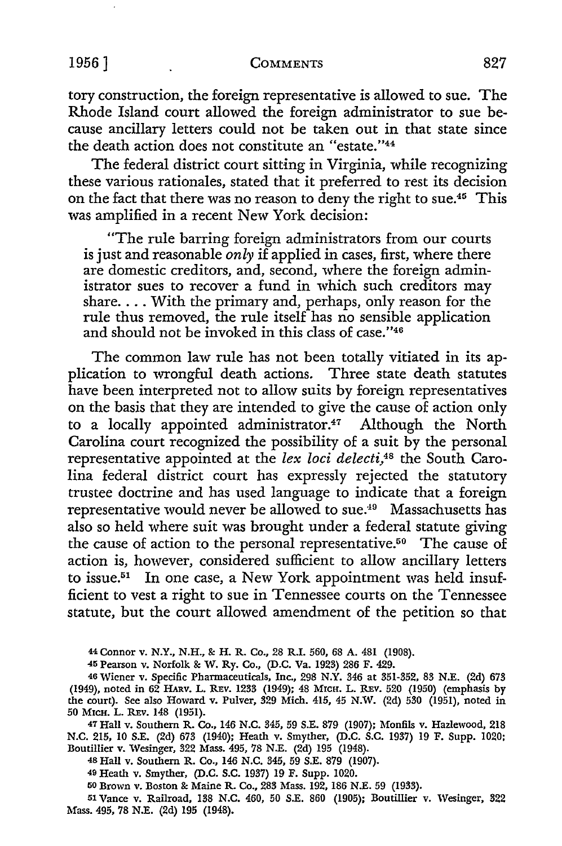#### 1956] **COMMENTS** 827

tory construction, the foreign representative is allowed to sue. The Rhode Island court allowed the foreign administrator to sue because ancillary letters could not be taken out in that state since the death action does not constitute an "estate."<sup>44</sup>

The federal district court sitting in Virginia, while recognizing these various rationales, stated that it preferred to rest its decision on the fact that there was no reason to deny the right to sue.<sup>45</sup> This was amplified in a recent New York decision:

"The rule barring foreign administrators from our courts is just and reasonable *only* if applied in cases, first, where there are domestic creditors, and, second, where the foreign administrator sues to recover a fund in which such creditors may share. . . . With the primary and, perhaps, only reason for the rule thus removed, the rule itself has no sensible application and should not be invoked in this class of case."46

The common law rule has not been totally vitiated in its application to wrongful death actions. Three state death statutes have been interpreted not to allow suits by foreign representatives on the basis that they are intended to give the cause of action only to a locally appointed administrator. $47$  Although the North Carolina court recognized the possibility of a suit by the personal representative appointed at the *lex loci delecti,4*8 the South Carolina federal district court has expressly rejected the statutory trustee doctrine and has used language to indicate that a foreign representative would never be allowed to sue.<sup>49</sup> Massachusetts has also so held where suit was brought under a federal statute giving the cause of action to the personal representative.50 The cause of action is, however, considered sufficient to allow ancillary letters to issue.<sup>51</sup> In one case, a New York appointment was held insufficient to vest a right to sue in Tennessee courts on the Tennessee statute, but the court allowed amendment of the petition so that

44 Connor **v. N.Y., N.H.,** &: H. R. Co., 28 R.I. 560, 68 A. 481 (1908).

45 Pearson v. Norfolk &: W. Ry. Co., (D.C. Va. 1923) 286 F. 429.

46 Wiener v. Specific Pharmaceuticals, Inc., 298 N.Y. 346 at 351-352, 83 N.E. (2d) 673 (1949), noted in 62 HARV. L. REv. 1233 (1949); 48 MICH. L. REv. 520 (1950) (emphasis by the court). See also Howard v. Pulver, 329 Mich. 415, 45 N.W. (2d) 530 (1951), noted in 50 MICH. L. REv. 148 (1951).

47 Hall v. Southern R. Co., 146 N.C. 345, 59 S.E. 879 (1907); Monfils v. Hazlewood, 218 N.C. 215, 10 S.E. (2d) 673 (1940); Heath v. Smyther, (D.C. S.C. 1937) 19 F. Supp. 1020; Boutillier v. Wesinger, 322 Mass. 495, 78 N.E. (2d) 195 (1948).

48 Hall v. Southern R. Co., 146 N.C. 345, 59 S.E. 879 (1907).

49 Heath v. Smyther, (D.C. S.C. 1937) 19 F. Supp. 1020.

50 Brown v. Boston &: Maine R. Co., 283 Mass. 192, 186 N.E. 59 (1933).

51 Vance v. Railroad, 138 N.C. 460, 50 S.E. 860 (1905); Boutillier v. Wesinger, 322 Mass. 495, 78 N.E. (2d) 195 (1948).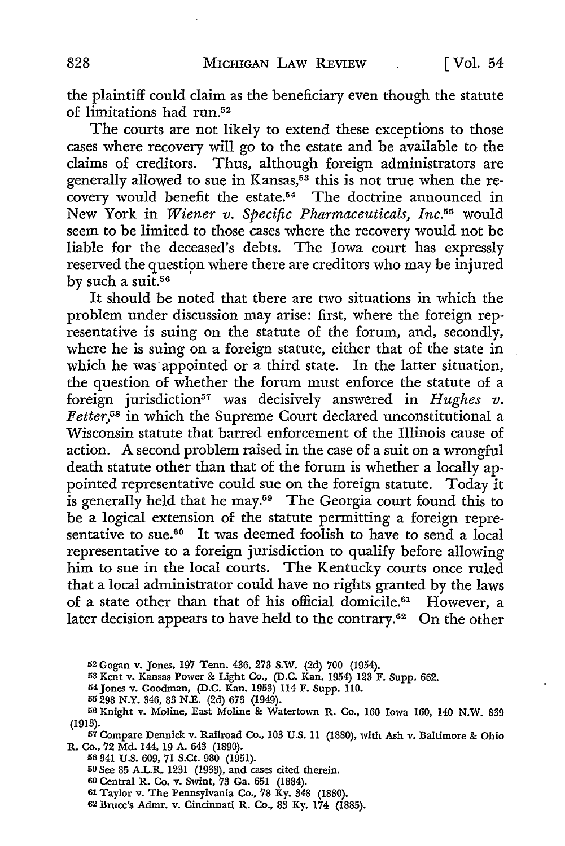the plaintiff could claim as the beneficiary even though the statute of limitations had run.52

The courts are not likely to extend these exceptions to those cases where recovery will go to the estate and be available to the claims of creditors. Thus, although foreign administrators are generally allowed to sue in Kansas,<sup>53</sup> this is not true when the recovery would benefit the estate.54 The doctrine announced in New York in *Wiener v. Specific Pharmaceuticals, Inc.55* would seem to be limited to those cases where the recovery would not be liable for the deceased's debts. The Iowa court has expressly reserved the question where there are creditors who may be injured by such a suit.<sup>56</sup>

It should be noted that there are two situations in which the problem under discussion may arise: first, where the foreign representative is suing on the statute of the forum, and, secondly, where he is suing on a foreign statute, either that of the state in which he was appointed or a third state. In the latter situation, the question of whether the forum must enforce the statute of a foreign jurisdiction<sup>57</sup> was decisively answered in *Hughes v*. *F etter,5*8 in which the Supreme Court declared unconstitutional a Wisconsin statute that barred enforcement of the Illinois cause of action. A second problem raised in the case of a suit on a wrongful death statute other than that of the forum is whether a locally appointed representative could sue on the foreign statute. Today it is generally held that he may.<sup>59</sup> The Georgia court found this to be a logical extension of the statute permitting a foreign representative to sue.<sup>60</sup> It was deemed foolish to have to send a local representative to a foreign jurisdiction to qualify before allowing him to sue in the local courts. The Kentucky courts once ruled that a local administrator could have no rights granted by the laws of a state other than that of his official domicile.<sup>61</sup> However, a later decision appears to have held to the contrary.<sup>62</sup> On the other

- 54 Jones v. Goodman, (D.C. Kan. 1953) 114 F. Supp. 110.
- 55 298 N.Y. 346, 83 N.E. {2d) 673 (1949).

57 Compare Dennick v. Railroad Co., 103 U.S. II (1880), with Ash v. Baltimore & Ohio R. Co., 72 Md. 144, 19 A. 643 (1890).

58 341 U.S. 609, 71 S.Ct. 980 (1951).

59 See 85 A.L.R. 1231 (1933), and cases cited therein.

- 60 Central R. Co. v. Swint, 73 Ga. 651 (1884).
- 61 Taylor v. The Pennsylvania Co., 78 Ky. 348 (1880).
- 62Bruce's Admr. v. Cincinnati R. Co., 83 Ky. 174 (1885).

<sup>52</sup> Gogan v. Jones, 197 Tenn. 436, 273 S.W. (2d) 700 (1954).

<sup>53</sup> Kent v. Kansas Power & Light Co., (D.C. Kan. 1954) 123 F. Supp. 662.

<sup>56</sup> Knight v. Moline, East Moline & Watertown R. Co., 160 Iowa 160, 140 N.W. 839 (1913).